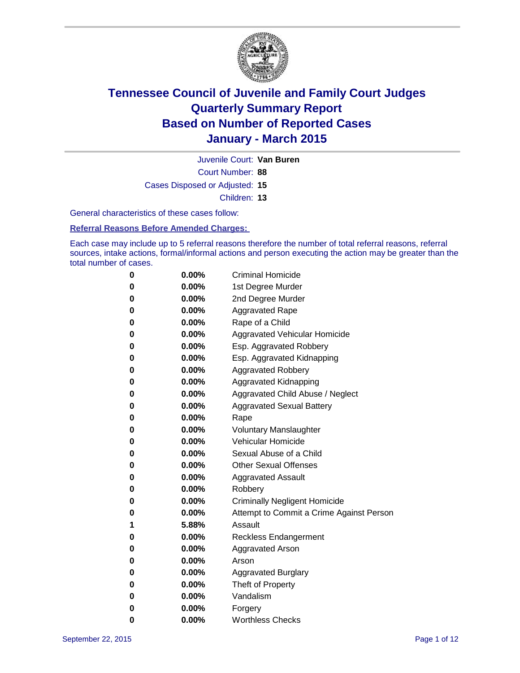

Court Number: **88** Juvenile Court: **Van Buren** Cases Disposed or Adjusted: **15** Children: **13**

General characteristics of these cases follow:

**Referral Reasons Before Amended Charges:** 

Each case may include up to 5 referral reasons therefore the number of total referral reasons, referral sources, intake actions, formal/informal actions and person executing the action may be greater than the total number of cases.

| 0        | 0.00%    | <b>Criminal Homicide</b>                 |
|----------|----------|------------------------------------------|
| 0        | $0.00\%$ | 1st Degree Murder                        |
| 0        | $0.00\%$ | 2nd Degree Murder                        |
| 0        | $0.00\%$ | <b>Aggravated Rape</b>                   |
| 0        | $0.00\%$ | Rape of a Child                          |
| 0        | $0.00\%$ | Aggravated Vehicular Homicide            |
| 0        | 0.00%    | Esp. Aggravated Robbery                  |
| 0        | $0.00\%$ | Esp. Aggravated Kidnapping               |
| 0        | $0.00\%$ | <b>Aggravated Robbery</b>                |
| $\bf{0}$ | $0.00\%$ | Aggravated Kidnapping                    |
| 0        | 0.00%    | Aggravated Child Abuse / Neglect         |
| 0        | $0.00\%$ | <b>Aggravated Sexual Battery</b>         |
| 0        | $0.00\%$ | Rape                                     |
| 0        | $0.00\%$ | <b>Voluntary Manslaughter</b>            |
| 0        | $0.00\%$ | <b>Vehicular Homicide</b>                |
| 0        | $0.00\%$ | Sexual Abuse of a Child                  |
| 0        | $0.00\%$ | <b>Other Sexual Offenses</b>             |
| 0        | $0.00\%$ | <b>Aggravated Assault</b>                |
| 0        | $0.00\%$ | Robbery                                  |
| 0        | $0.00\%$ | <b>Criminally Negligent Homicide</b>     |
| 0        | $0.00\%$ | Attempt to Commit a Crime Against Person |
| 1        | 5.88%    | Assault                                  |
| 0        | $0.00\%$ | <b>Reckless Endangerment</b>             |
| 0        | $0.00\%$ | Aggravated Arson                         |
| 0        | $0.00\%$ | Arson                                    |
| 0        | $0.00\%$ | <b>Aggravated Burglary</b>               |
| 0        | $0.00\%$ | Theft of Property                        |
| 0        | $0.00\%$ | Vandalism                                |
| 0        | $0.00\%$ | Forgery                                  |
| 0        | 0.00%    | <b>Worthless Checks</b>                  |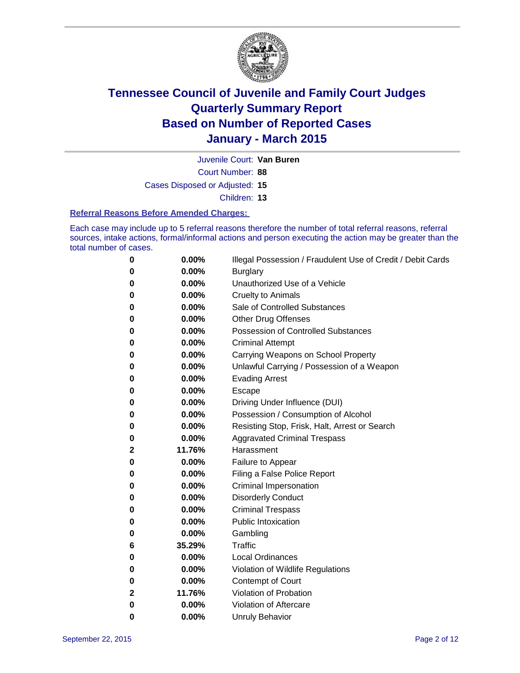

Juvenile Court: **Van Buren**

Court Number: **88**

Cases Disposed or Adjusted: **15**

Children: **13**

#### **Referral Reasons Before Amended Charges:**

Each case may include up to 5 referral reasons therefore the number of total referral reasons, referral sources, intake actions, formal/informal actions and person executing the action may be greater than the total number of cases.

| 0           | 0.00%  | Illegal Possession / Fraudulent Use of Credit / Debit Cards |
|-------------|--------|-------------------------------------------------------------|
| 0           | 0.00%  | <b>Burglary</b>                                             |
| 0           | 0.00%  | Unauthorized Use of a Vehicle                               |
| 0           | 0.00%  | <b>Cruelty to Animals</b>                                   |
| 0           | 0.00%  | Sale of Controlled Substances                               |
| 0           | 0.00%  | <b>Other Drug Offenses</b>                                  |
| 0           | 0.00%  | <b>Possession of Controlled Substances</b>                  |
| 0           | 0.00%  | <b>Criminal Attempt</b>                                     |
| 0           | 0.00%  | Carrying Weapons on School Property                         |
| 0           | 0.00%  | Unlawful Carrying / Possession of a Weapon                  |
| 0           | 0.00%  | <b>Evading Arrest</b>                                       |
| 0           | 0.00%  | Escape                                                      |
| 0           | 0.00%  | Driving Under Influence (DUI)                               |
| 0           | 0.00%  | Possession / Consumption of Alcohol                         |
| 0           | 0.00%  | Resisting Stop, Frisk, Halt, Arrest or Search               |
| 0           | 0.00%  | <b>Aggravated Criminal Trespass</b>                         |
| $\mathbf 2$ | 11.76% | Harassment                                                  |
| 0           | 0.00%  | Failure to Appear                                           |
| 0           | 0.00%  | Filing a False Police Report                                |
| 0           | 0.00%  | Criminal Impersonation                                      |
| 0           | 0.00%  | <b>Disorderly Conduct</b>                                   |
| 0           | 0.00%  | <b>Criminal Trespass</b>                                    |
| 0           | 0.00%  | <b>Public Intoxication</b>                                  |
| 0           | 0.00%  | Gambling                                                    |
| 6           | 35.29% | <b>Traffic</b>                                              |
| 0           | 0.00%  | <b>Local Ordinances</b>                                     |
| 0           | 0.00%  | Violation of Wildlife Regulations                           |
| 0           | 0.00%  | <b>Contempt of Court</b>                                    |
| 2           | 11.76% | Violation of Probation                                      |
| 0           | 0.00%  | Violation of Aftercare                                      |
| 0           | 0.00%  | <b>Unruly Behavior</b>                                      |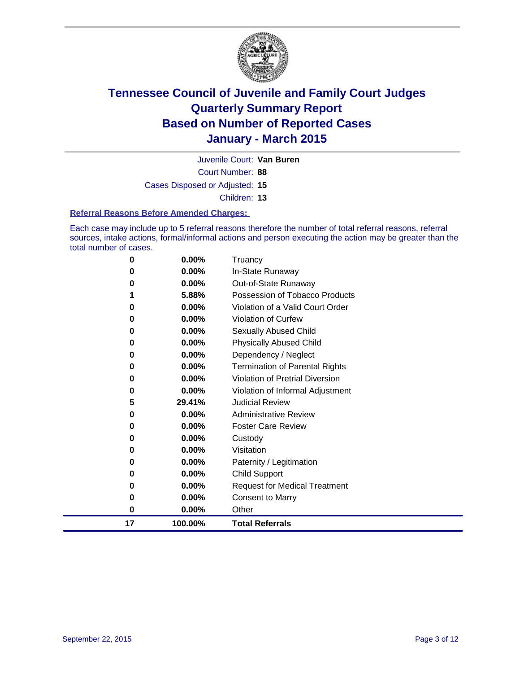

Court Number: **88** Juvenile Court: **Van Buren** Cases Disposed or Adjusted: **15** Children: **13**

#### **Referral Reasons Before Amended Charges:**

Each case may include up to 5 referral reasons therefore the number of total referral reasons, referral sources, intake actions, formal/informal actions and person executing the action may be greater than the total number of cases.

| 0  | 0.00%    | Truancy                                |
|----|----------|----------------------------------------|
| 0  | 0.00%    | In-State Runaway                       |
| 0  | 0.00%    | Out-of-State Runaway                   |
|    | 5.88%    | Possession of Tobacco Products         |
| 0  | 0.00%    | Violation of a Valid Court Order       |
| 0  | 0.00%    | <b>Violation of Curfew</b>             |
| 0  | 0.00%    | <b>Sexually Abused Child</b>           |
| 0  | 0.00%    | <b>Physically Abused Child</b>         |
| 0  | 0.00%    | Dependency / Neglect                   |
| 0  | 0.00%    | <b>Termination of Parental Rights</b>  |
| 0  | 0.00%    | <b>Violation of Pretrial Diversion</b> |
| 0  | 0.00%    | Violation of Informal Adjustment       |
| 5  | 29.41%   | <b>Judicial Review</b>                 |
| 0  | 0.00%    | <b>Administrative Review</b>           |
| 0  | $0.00\%$ | <b>Foster Care Review</b>              |
| 0  | 0.00%    | Custody                                |
| 0  | $0.00\%$ | Visitation                             |
| 0  | $0.00\%$ | Paternity / Legitimation               |
| 0  | $0.00\%$ | <b>Child Support</b>                   |
| 0  | 0.00%    | <b>Request for Medical Treatment</b>   |
| 0  | 0.00%    | <b>Consent to Marry</b>                |
| 0  | 0.00%    | Other                                  |
| 17 | 100.00%  | <b>Total Referrals</b>                 |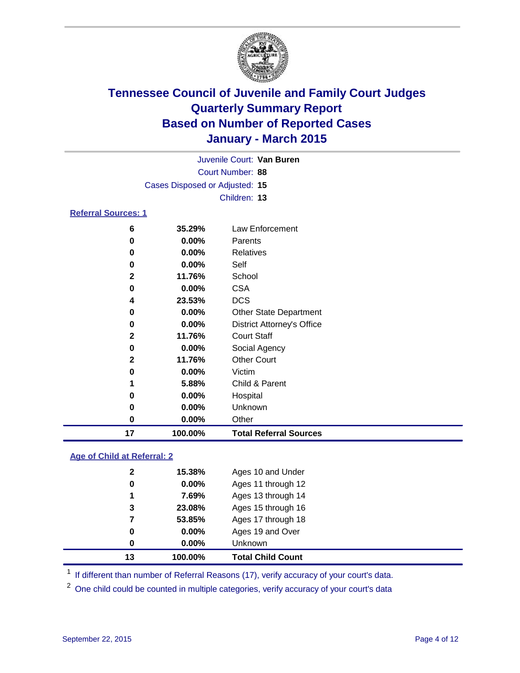

|                            |                                | Juvenile Court: Van Buren         |
|----------------------------|--------------------------------|-----------------------------------|
|                            |                                | Court Number: 88                  |
|                            | Cases Disposed or Adjusted: 15 |                                   |
|                            |                                | Children: 13                      |
| <b>Referral Sources: 1</b> |                                |                                   |
| 6                          | 35.29%                         | Law Enforcement                   |
| 0                          | $0.00\%$                       | Parents                           |
| 0                          | $0.00\%$                       | <b>Relatives</b>                  |
| 0                          | $0.00\%$                       | Self                              |
| $\mathbf{2}$               | 11.76%                         | School                            |
| 0                          | $0.00\%$                       | <b>CSA</b>                        |
| 4                          | 23.53%                         | <b>DCS</b>                        |
| 0                          | $0.00\%$                       | <b>Other State Department</b>     |
| 0                          | $0.00\%$                       | <b>District Attorney's Office</b> |
| $\mathbf{2}$               | 11.76%                         | <b>Court Staff</b>                |
| 0                          | $0.00\%$                       | Social Agency                     |
| $\mathbf{2}$               | 11.76%                         | <b>Other Court</b>                |
| 0                          | $0.00\%$                       | Victim                            |
| 1                          | 5.88%                          | Child & Parent                    |

| 17 | 100.00%  | <b>Total Referral Sources</b> |
|----|----------|-------------------------------|
| 0  | $0.00\%$ | Other                         |
| 0  | $0.00\%$ | Unknown                       |
| 0  | $0.00\%$ | Hospital                      |
|    | 5.88%    | Child & Parent                |

#### **Age of Child at Referral: 2**

| 3<br>7<br>0<br>0 | 23.08%<br>53.85%<br>$0.00\%$<br>0.00% | Ages 15 through 16<br>Ages 17 through 18<br>Ages 19 and Over<br>Unknown |
|------------------|---------------------------------------|-------------------------------------------------------------------------|
|                  |                                       |                                                                         |
|                  |                                       |                                                                         |
|                  |                                       |                                                                         |
|                  |                                       |                                                                         |
| 1                | 7.69%                                 | Ages 13 through 14                                                      |
| 0                | 0.00%                                 | Ages 11 through 12                                                      |
| $\mathbf{2}$     | 15.38%                                | Ages 10 and Under                                                       |
|                  |                                       |                                                                         |

<sup>1</sup> If different than number of Referral Reasons (17), verify accuracy of your court's data.

One child could be counted in multiple categories, verify accuracy of your court's data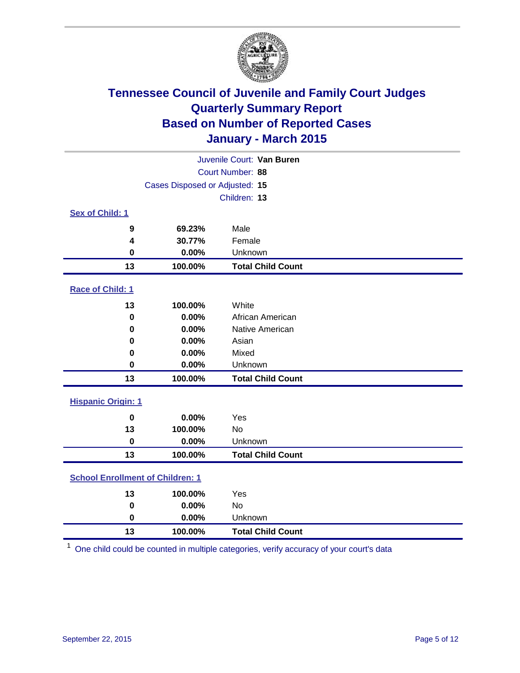

|                                         |                                | Juvenile Court: Van Buren |  |
|-----------------------------------------|--------------------------------|---------------------------|--|
|                                         |                                | Court Number: 88          |  |
|                                         | Cases Disposed or Adjusted: 15 |                           |  |
|                                         |                                | Children: 13              |  |
| Sex of Child: 1                         |                                |                           |  |
| 9                                       | 69.23%                         | Male                      |  |
| 4                                       | 30.77%                         | Female                    |  |
| $\mathbf 0$                             | 0.00%                          | Unknown                   |  |
| 13                                      | 100.00%                        | <b>Total Child Count</b>  |  |
| Race of Child: 1                        |                                |                           |  |
| 13                                      | 100.00%                        | White                     |  |
| $\bf{0}$                                | 0.00%                          | African American          |  |
| 0                                       | 0.00%                          | Native American           |  |
| 0                                       | 0.00%                          | Asian                     |  |
| 0                                       | 0.00%                          | Mixed                     |  |
| $\mathbf 0$                             | 0.00%                          | Unknown                   |  |
| 13                                      | 100.00%                        | <b>Total Child Count</b>  |  |
| <b>Hispanic Origin: 1</b>               |                                |                           |  |
| $\mathbf 0$                             | 0.00%                          | Yes                       |  |
| 13                                      | 100.00%                        | <b>No</b>                 |  |
| $\mathbf 0$                             | 0.00%                          | Unknown                   |  |
| 13                                      | 100.00%                        | <b>Total Child Count</b>  |  |
| <b>School Enrollment of Children: 1</b> |                                |                           |  |
| 13                                      | 100.00%                        | Yes                       |  |
| $\mathbf 0$                             | 0.00%                          | <b>No</b>                 |  |
| 0                                       | 0.00%                          | Unknown                   |  |
| 13                                      | 100.00%                        | <b>Total Child Count</b>  |  |

One child could be counted in multiple categories, verify accuracy of your court's data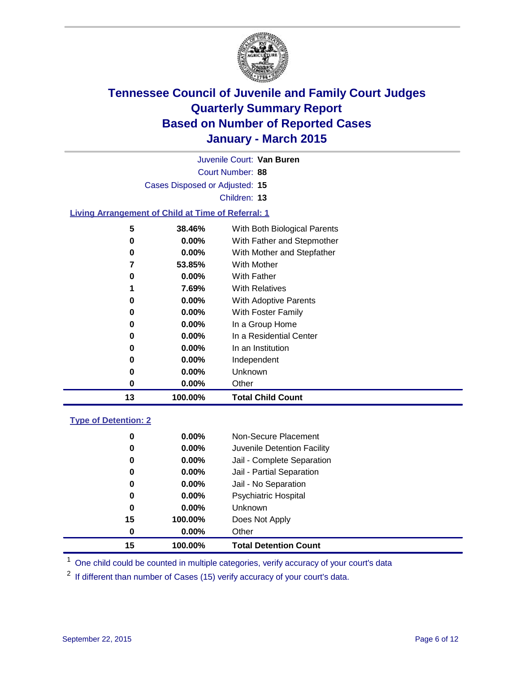

|                                                           |                                | Juvenile Court: Van Buren    |
|-----------------------------------------------------------|--------------------------------|------------------------------|
|                                                           |                                | Court Number: 88             |
|                                                           | Cases Disposed or Adjusted: 15 |                              |
|                                                           |                                | Children: 13                 |
| <b>Living Arrangement of Child at Time of Referral: 1</b> |                                |                              |
| 5                                                         | 38.46%                         | With Both Biological Parents |
| 0                                                         | 0.00%                          | With Father and Stepmother   |
| 0                                                         | 0.00%                          | With Mother and Stepfather   |
| 7                                                         | 53.85%                         | With Mother                  |
| 0                                                         | 0.00%                          | With Father                  |
| 1                                                         | 7.69%                          | <b>With Relatives</b>        |
| 0                                                         | 0.00%                          | With Adoptive Parents        |
| 0                                                         | 0.00%                          | With Foster Family           |
| 0                                                         | 0.00%                          | In a Group Home              |
| 0                                                         | 0.00%                          | In a Residential Center      |
| 0                                                         | 0.00%                          | In an Institution            |
| 0                                                         | 0.00%                          | Independent                  |
| 0                                                         | 0.00%                          | Unknown                      |
| 0                                                         | 0.00%                          | Other                        |
| 13                                                        | 100.00%                        | <b>Total Child Count</b>     |
| <b>Type of Detention: 2</b>                               |                                |                              |
| 0                                                         | 0.00%                          | Non-Secure Placement         |
| 0                                                         | 0.00%                          | Juvenile Detention Facility  |
| 0                                                         | 0.00%                          | Jail - Complete Separation   |
| 0                                                         | 0.00%                          | Jail - Partial Separation    |
| 0                                                         | 0.00%                          | Jail - No Separation         |
| 0                                                         | 0.00%                          | <b>Psychiatric Hospital</b>  |
| 0                                                         | 0.00%                          | Unknown                      |
| 15                                                        | 100.00%                        | Does Not Apply               |
| 0                                                         | 0.00%                          | Other                        |

<sup>1</sup> One child could be counted in multiple categories, verify accuracy of your court's data

**100.00% Total Detention Count**

If different than number of Cases (15) verify accuracy of your court's data.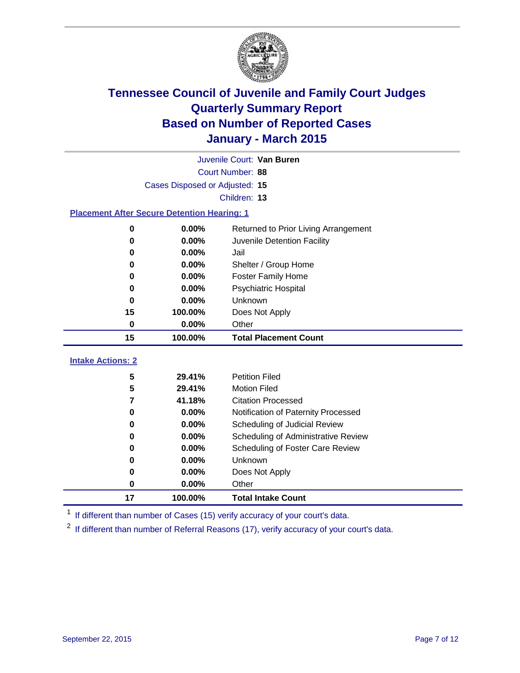

|                                                    |                                | Juvenile Court: Van Buren               |
|----------------------------------------------------|--------------------------------|-----------------------------------------|
|                                                    |                                | Court Number: 88                        |
|                                                    | Cases Disposed or Adjusted: 15 |                                         |
|                                                    |                                | Children: 13                            |
| <b>Placement After Secure Detention Hearing: 1</b> |                                |                                         |
| $\bf{0}$                                           | 0.00%                          | Returned to Prior Living Arrangement    |
| 0                                                  | 0.00%                          | Juvenile Detention Facility             |
| 0                                                  | 0.00%                          | Jail                                    |
| $\bf{0}$                                           | 0.00%                          | Shelter / Group Home                    |
| 0                                                  | 0.00%                          | <b>Foster Family Home</b>               |
| $\bf{0}$                                           | 0.00%                          | Psychiatric Hospital                    |
| $\bf{0}$                                           | 0.00%                          | Unknown                                 |
| 15                                                 | 100.00%                        | Does Not Apply                          |
| 0                                                  | 0.00%                          | Other                                   |
| 15                                                 | 100.00%                        | <b>Total Placement Count</b>            |
|                                                    |                                |                                         |
| <b>Intake Actions: 2</b>                           |                                |                                         |
| 5                                                  | 29.41%                         | <b>Petition Filed</b>                   |
| 5                                                  | 29.41%                         | <b>Motion Filed</b>                     |
| 7                                                  | 41.18%                         | <b>Citation Processed</b>               |
| 0                                                  | 0.00%                          | Notification of Paternity Processed     |
| 0                                                  | 0.00%                          | Scheduling of Judicial Review           |
| 0                                                  | 0.00%                          | Scheduling of Administrative Review     |
| 0                                                  | 0.00%                          | <b>Scheduling of Foster Care Review</b> |
| 0                                                  | 0.00%                          | Unknown                                 |
| 0                                                  | 0.00%                          | Does Not Apply                          |
| 0                                                  | 0.00%                          | Other                                   |

<sup>1</sup> If different than number of Cases (15) verify accuracy of your court's data.

<sup>2</sup> If different than number of Referral Reasons (17), verify accuracy of your court's data.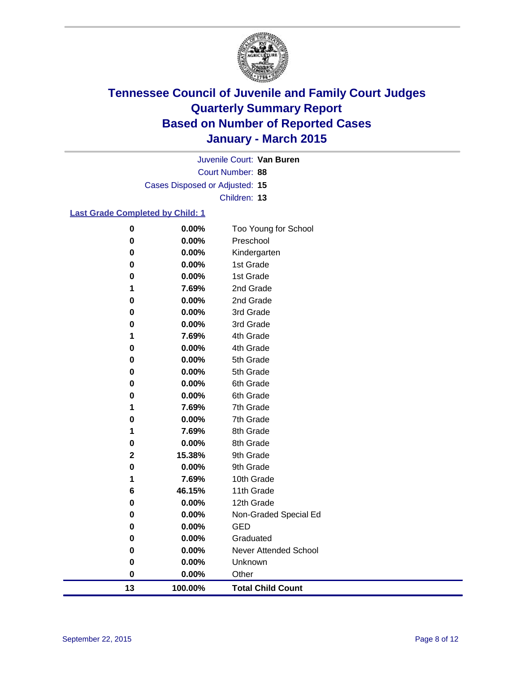

Court Number: **88** Juvenile Court: **Van Buren** Cases Disposed or Adjusted: **15** Children: **13**

#### **Last Grade Completed by Child: 1**

| 13          | 100.00%        | <b>Total Child Count</b>  |
|-------------|----------------|---------------------------|
| 0           | 0.00%          | Other                     |
| 0           | 0.00%          | Unknown                   |
| 0           | 0.00%          | Never Attended School     |
| 0           | 0.00%          | Graduated                 |
| 0           | 0.00%          | <b>GED</b>                |
| 0           | 0.00%          | Non-Graded Special Ed     |
| 0           | 0.00%          | 12th Grade                |
| 6           | 46.15%         | 11th Grade                |
| 1           | 7.69%          | 10th Grade                |
| 0           | 0.00%          | 9th Grade                 |
| $\mathbf 2$ | 15.38%         | 9th Grade                 |
| 0           | 0.00%          | 8th Grade                 |
| 1           | 7.69%          | 8th Grade                 |
| 0           | 0.00%          | 7th Grade                 |
| 1           | 7.69%          | 7th Grade                 |
| 0           | 0.00%          | 6th Grade                 |
| 0           | 0.00%          | 6th Grade                 |
| 0           | 0.00%          | 5th Grade                 |
| 0           | 0.00%          | 5th Grade                 |
| 0           | 0.00%          | 4th Grade                 |
| 1           | 7.69%          | 4th Grade                 |
| 0           | 0.00%          | 3rd Grade                 |
| 0           | 0.00%          | 3rd Grade                 |
| 0           | 0.00%          | 2nd Grade                 |
| 1           | 7.69%          | 2nd Grade                 |
| 0<br>0      | 0.00%<br>0.00% | 1st Grade                 |
| 0           | 0.00%          | Kindergarten<br>1st Grade |
| 0           | 0.00%          | Preschool                 |
| $\pmb{0}$   | 0.00%          | Too Young for School      |
|             |                |                           |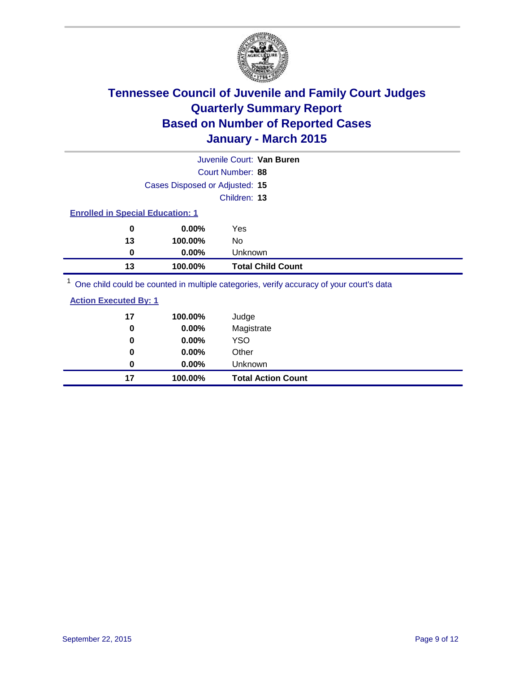

|                                         |                                | Juvenile Court: Van Buren                                                               |
|-----------------------------------------|--------------------------------|-----------------------------------------------------------------------------------------|
|                                         |                                | Court Number: 88                                                                        |
|                                         | Cases Disposed or Adjusted: 15 |                                                                                         |
|                                         |                                | Children: 13                                                                            |
| <b>Enrolled in Special Education: 1</b> |                                |                                                                                         |
| 0                                       | $0.00\%$                       | Yes                                                                                     |
| 13                                      | 100.00%                        | No                                                                                      |
| 0                                       | $0.00\%$                       | Unknown                                                                                 |
| 13                                      | 100.00%                        | <b>Total Child Count</b>                                                                |
|                                         |                                | One child could be counted in multiple categories, verify accuracy of your court's data |

| <b>Action Executed By: 1</b> |  |
|------------------------------|--|
|                              |  |

| 17 | 100.00%  | Judge                     |
|----|----------|---------------------------|
| 0  | 0.00%    | Magistrate                |
| 0  | $0.00\%$ | <b>YSO</b>                |
| 0  | $0.00\%$ | Other                     |
| 0  | $0.00\%$ | Unknown                   |
| 17 | 100.00%  | <b>Total Action Count</b> |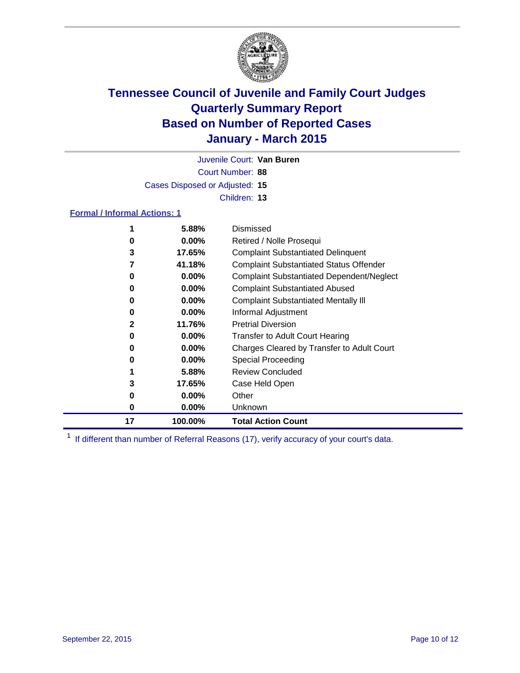

Court Number: **88** Juvenile Court: **Van Buren** Cases Disposed or Adjusted: **15** Children: **13**

#### **Formal / Informal Actions: 1**

|    | 5.88%    | Dismissed                                        |
|----|----------|--------------------------------------------------|
| 0  | $0.00\%$ | Retired / Nolle Prosequi                         |
| 3  | 17.65%   | <b>Complaint Substantiated Delinquent</b>        |
| 7  | 41.18%   | <b>Complaint Substantiated Status Offender</b>   |
| 0  | $0.00\%$ | <b>Complaint Substantiated Dependent/Neglect</b> |
| 0  | $0.00\%$ | <b>Complaint Substantiated Abused</b>            |
| 0  | $0.00\%$ | <b>Complaint Substantiated Mentally III</b>      |
| 0  | $0.00\%$ | Informal Adjustment                              |
| 2  | 11.76%   | <b>Pretrial Diversion</b>                        |
| 0  | $0.00\%$ | <b>Transfer to Adult Court Hearing</b>           |
| 0  | $0.00\%$ | Charges Cleared by Transfer to Adult Court       |
| 0  | $0.00\%$ | Special Proceeding                               |
|    | 5.88%    | <b>Review Concluded</b>                          |
| 3  | 17.65%   | Case Held Open                                   |
| 0  | $0.00\%$ | Other                                            |
| 0  | $0.00\%$ | Unknown                                          |
| 17 | 100.00%  | <b>Total Action Count</b>                        |

<sup>1</sup> If different than number of Referral Reasons (17), verify accuracy of your court's data.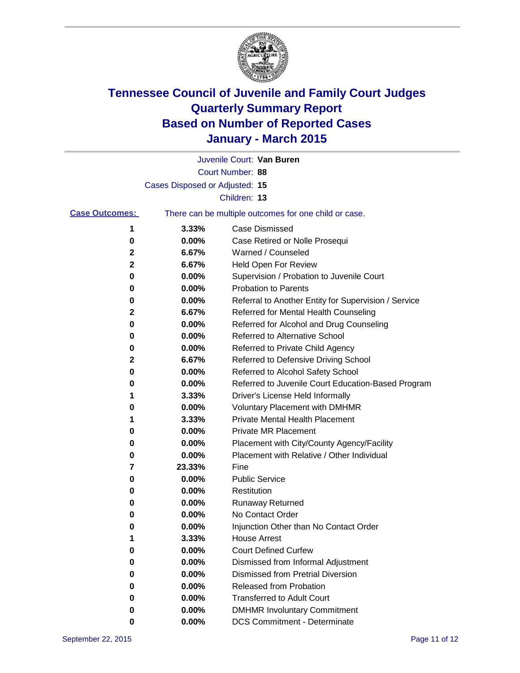

|                       |                                | Juvenile Court: Van Buren                             |
|-----------------------|--------------------------------|-------------------------------------------------------|
|                       |                                | Court Number: 88                                      |
|                       | Cases Disposed or Adjusted: 15 |                                                       |
|                       |                                | Children: 13                                          |
| <b>Case Outcomes:</b> |                                | There can be multiple outcomes for one child or case. |
| 1                     | 3.33%                          | <b>Case Dismissed</b>                                 |
| 0                     | 0.00%                          | Case Retired or Nolle Prosequi                        |
| 2                     | 6.67%                          | Warned / Counseled                                    |
| 2                     | 6.67%                          | Held Open For Review                                  |
| 0                     | 0.00%                          | Supervision / Probation to Juvenile Court             |
| 0                     | 0.00%                          | <b>Probation to Parents</b>                           |
| 0                     | 0.00%                          | Referral to Another Entity for Supervision / Service  |
| 2                     | 6.67%                          | Referred for Mental Health Counseling                 |
| 0                     | 0.00%                          | Referred for Alcohol and Drug Counseling              |
| 0                     | 0.00%                          | Referred to Alternative School                        |
| 0                     | 0.00%                          | Referred to Private Child Agency                      |
| 2                     | 6.67%                          | Referred to Defensive Driving School                  |
| 0                     | 0.00%                          | Referred to Alcohol Safety School                     |
| 0                     | 0.00%                          | Referred to Juvenile Court Education-Based Program    |
| 1                     | 3.33%                          | Driver's License Held Informally                      |
| 0                     | 0.00%                          | <b>Voluntary Placement with DMHMR</b>                 |
| 1                     | 3.33%                          | <b>Private Mental Health Placement</b>                |
| 0                     | 0.00%                          | Private MR Placement                                  |
| 0                     | 0.00%                          | Placement with City/County Agency/Facility            |
| 0                     | 0.00%                          | Placement with Relative / Other Individual            |
| 7                     | 23.33%                         | Fine                                                  |
| 0                     | 0.00%                          | <b>Public Service</b>                                 |
| 0                     | 0.00%                          | Restitution                                           |
| 0                     | 0.00%                          | <b>Runaway Returned</b>                               |
| 0                     | 0.00%                          | No Contact Order                                      |
| 0                     | 0.00%                          | Injunction Other than No Contact Order                |
| 1                     | 3.33%                          | <b>House Arrest</b>                                   |
| 0                     | 0.00%                          | <b>Court Defined Curfew</b>                           |
| 0                     | 0.00%                          | Dismissed from Informal Adjustment                    |
| 0                     | 0.00%                          | <b>Dismissed from Pretrial Diversion</b>              |
| 0                     | 0.00%                          | Released from Probation                               |
| 0                     | 0.00%                          | <b>Transferred to Adult Court</b>                     |
| 0                     | 0.00%                          | <b>DMHMR Involuntary Commitment</b>                   |
| 0                     | $0.00\%$                       | <b>DCS Commitment - Determinate</b>                   |